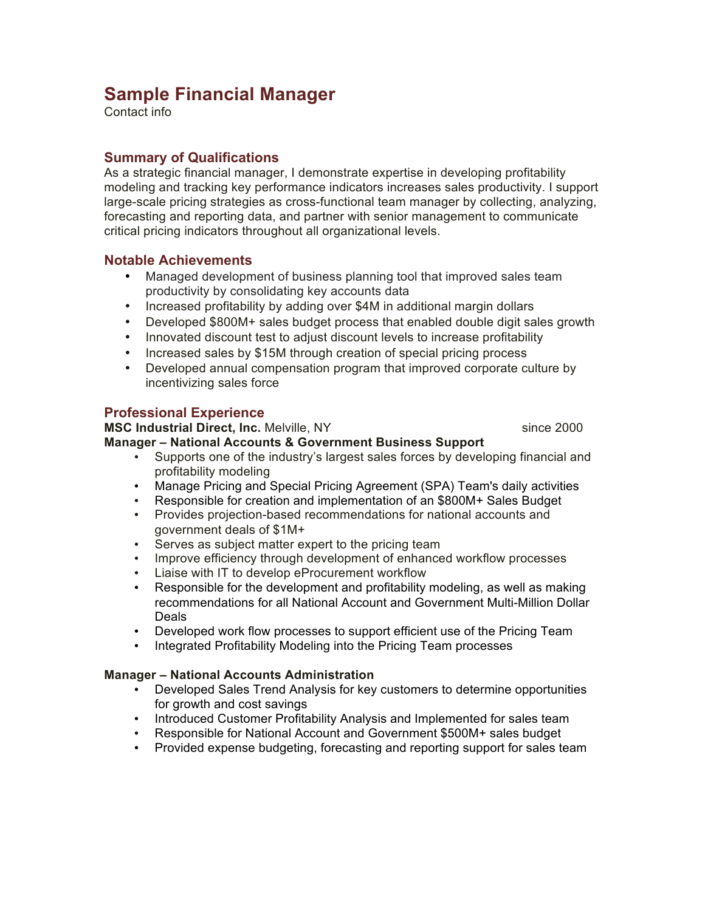# **Sample Financial Manager**

Contact info

### **Summary of Qualifications**

As a strategic financial manager, I demonstrate expertise in developing profitability modeling and tracking key performance indicators increases sales productivity. I support large-scale pricing strategies as cross-functional team manager by collecting, analyzing, forecasting and reporting data, and partner with senior management to communicate critical pricing indicators throughout all organizational levels.

#### **Notable Achievements**

- Managed development of business planning tool that improved sales team productivity by consolidating key accounts data
- Increased profitability by adding over \$4M in additional margin dollars
- Developed \$800M+ sales budget process that enabled double digit sales growth
- Innovated discount test to adjust discount levels to increase profitability
- Increased sales by \$15M through creation of special pricing process
- Developed annual compensation program that improved corporate culture by incentivizing sales force

### **Professional Experience**

**MSC Industrial Direct, Inc.** Melville, NY since 2000

#### **Manager – National Accounts & Government Business Support**

- Supports one of the industry's largest sales forces by developing financial and profitability modeling
- Manage Pricing and Special Pricing Agreement (SPA) Team's daily activities
- Responsible for creation and implementation of an \$800M+ Sales Budget
- Provides projection-based recommendations for national accounts and government deals of \$1M+
- Serves as subject matter expert to the pricing team
- Improve efficiency through development of enhanced workflow processes
- Liaise with IT to develop eProcurement workflow
- Responsible for the development and profitability modeling, as well as making recommendations for all National Account and Government Multi-Million Dollar Deals
- Developed work flow processes to support efficient use of the Pricing Team
- Integrated Profitability Modeling into the Pricing Team processes

#### **Manager – National Accounts Administration**

- Developed Sales Trend Analysis for key customers to determine opportunities for growth and cost savings
- Introduced Customer Profitability Analysis and Implemented for sales team
- Responsible for National Account and Government \$500M+ sales budget
- Provided expense budgeting, forecasting and reporting support for sales team